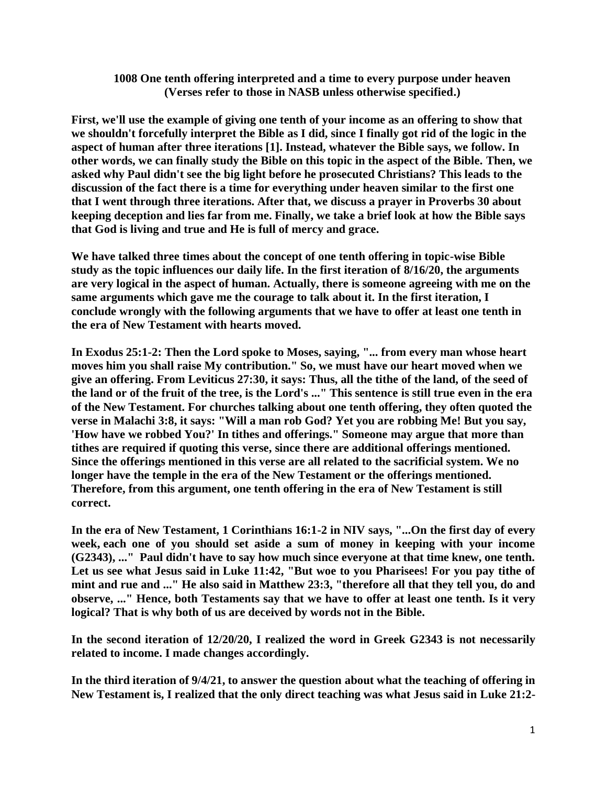## **1008 One tenth offering interpreted and a time to every purpose under heaven (Verses refer to those in NASB unless otherwise specified.)**

**First, we'll use the example of giving one tenth of your income as an offering to show that we shouldn't forcefully interpret the Bible as I did, since I finally got rid of the logic in the aspect of human after three iterations [1]. Instead, whatever the Bible says, we follow. In other words, we can finally study the Bible on this topic in the aspect of the Bible. Then, we asked why Paul didn't see the big light before he prosecuted Christians? This leads to the discussion of the fact there is a time for everything under heaven similar to the first one that I went through three iterations. After that, we discuss a prayer in Proverbs 30 about keeping deception and lies far from me. Finally, we take a brief look at how the Bible says that God is living and true and He is full of mercy and grace.**

**We have talked three times about the concept of one tenth offering in topic-wise Bible study as the topic influences our daily life. In the first iteration of 8/16/20, the arguments are very logical in the aspect of human. Actually, there is someone agreeing with me on the same arguments which gave me the courage to talk about it. In the first iteration, I conclude wrongly with the following arguments that we have to offer at least one tenth in the era of New Testament with hearts moved.**

**In Exodus 25:1-2: Then the Lord spoke to Moses, saying, "... from every man whose heart moves him you shall raise My contribution." So, we must have our heart moved when we give an offering. From Leviticus 27:30, it says: Thus, all the tithe of the land, of the seed of the land or of the fruit of the tree, is the Lord's ..." This sentence is still true even in the era of the New Testament. For churches talking about one tenth offering, they often quoted the verse in Malachi 3:8, it says: "Will a man rob God? Yet you are robbing Me! But you say, 'How have we robbed You?' In tithes and offerings." Someone may argue that more than tithes are required if quoting this verse, since there are additional offerings mentioned. Since the offerings mentioned in this verse are all related to the sacrificial system. We no longer have the temple in the era of the New Testament or the offerings mentioned. Therefore, from this argument, one tenth offering in the era of New Testament is still correct.** 

**In the era of New Testament, 1 Corinthians 16:1-2 in NIV says, "...On the first day of every week, each one of you should set aside a sum of money in keeping with your income (G2343), ..." Paul didn't have to say how much since everyone at that time knew, one tenth. Let us see what Jesus said in Luke 11:42, "But woe to you Pharisees! For you pay tithe of mint and rue and ..." He also said in Matthew 23:3, "therefore all that they tell you, do and observe, ..." Hence, both Testaments say that we have to offer at least one tenth. Is it very logical? That is why both of us are deceived by words not in the Bible.**

**In the second iteration of 12/20/20, I realized the word in Greek G2343 is not necessarily related to income. I made changes accordingly.**

**In the third iteration of 9/4/21, to answer the question about what the teaching of offering in New Testament is, I realized that the only direct teaching was what Jesus said in Luke 21:2-**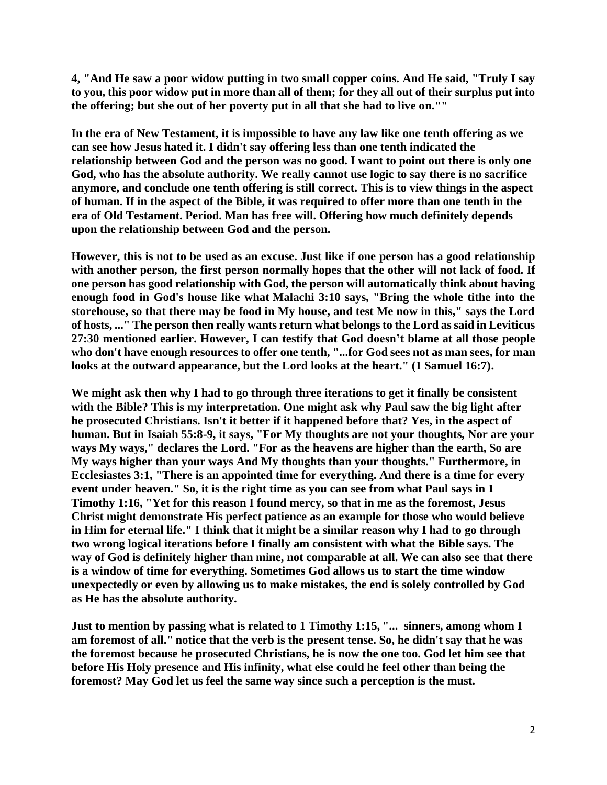**4, "And He saw a poor widow putting in two small copper coins. And He said, "Truly I say to you, this poor widow put in more than all of them; for they all out of their surplus put into the offering; but she out of her poverty put in all that she had to live on.""**

**In the era of New Testament, it is impossible to have any law like one tenth offering as we can see how Jesus hated it. I didn't say offering less than one tenth indicated the relationship between God and the person was no good. I want to point out there is only one God, who has the absolute authority. We really cannot use logic to say there is no sacrifice anymore, and conclude one tenth offering is still correct. This is to view things in the aspect of human. If in the aspect of the Bible, it was required to offer more than one tenth in the era of Old Testament. Period. Man has free will. Offering how much definitely depends upon the relationship between God and the person.**

**However, this is not to be used as an excuse. Just like if one person has a good relationship with another person, the first person normally hopes that the other will not lack of food. If one person has good relationship with God, the person will automatically think about having enough food in God's house like what Malachi 3:10 says, "Bring the whole tithe into the storehouse, so that there may be food in My house, and test Me now in this," says the Lord of hosts, ..." The person then really wants return what belongs to the Lord as said in Leviticus 27:30 mentioned earlier. However, I can testify that God doesn't blame at all those people who don't have enough resources to offer one tenth, "...for God sees not as man sees, for man looks at the outward appearance, but the Lord looks at the heart." (1 Samuel 16:7).**

**We might ask then why I had to go through three iterations to get it finally be consistent with the Bible? This is my interpretation. One might ask why Paul saw the big light after he prosecuted Christians. Isn't it better if it happened before that? Yes, in the aspect of human. But in Isaiah 55:8-9, it says, "For My thoughts are not your thoughts, Nor are your ways My ways," declares the Lord. "For as the heavens are higher than the earth, So are My ways higher than your ways And My thoughts than your thoughts." Furthermore, in Ecclesiastes 3:1, "There is an appointed time for everything. And there is a time for every event under heaven." So, it is the right time as you can see from what Paul says in 1 Timothy 1:16, "Yet for this reason I found mercy, so that in me as the foremost, Jesus Christ might demonstrate His perfect patience as an example for those who would believe in Him for eternal life." I think that it might be a similar reason why I had to go through two wrong logical iterations before I finally am consistent with what the Bible says. The way of God is definitely higher than mine, not comparable at all. We can also see that there is a window of time for everything. Sometimes God allows us to start the time window unexpectedly or even by allowing us to make mistakes, the end is solely controlled by God as He has the absolute authority.**

**Just to mention by passing what is related to 1 Timothy 1:15, "... sinners, among whom I am foremost of all." notice that the verb is the present tense. So, he didn't say that he was the foremost because he prosecuted Christians, he is now the one too. God let him see that before His Holy presence and His infinity, what else could he feel other than being the foremost? May God let us feel the same way since such a perception is the must.**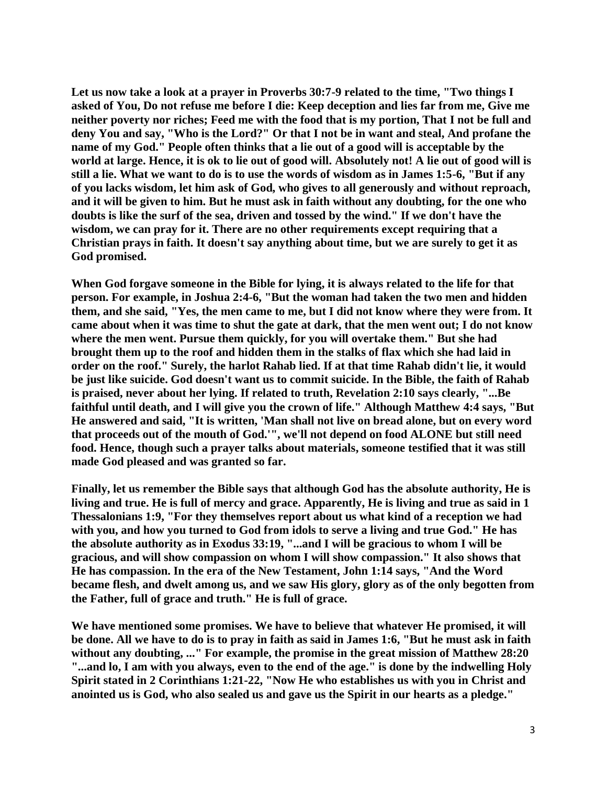**Let us now take a look at a prayer in Proverbs 30:7-9 related to the time, "Two things I asked of You, Do not refuse me before I die: Keep deception and lies far from me, Give me neither poverty nor riches; Feed me with the food that is my portion, That I not be full and deny You and say, "Who is the Lord?" Or that I not be in want and steal, And profane the name of my God." People often thinks that a lie out of a good will is acceptable by the world at large. Hence, it is ok to lie out of good will. Absolutely not! A lie out of good will is still a lie. What we want to do is to use the words of wisdom as in James 1:5-6, "But if any of you lacks wisdom, let him ask of God, who gives to all generously and without reproach, and it will be given to him. But he must ask in faith without any doubting, for the one who doubts is like the surf of the sea, driven and tossed by the wind." If we don't have the wisdom, we can pray for it. There are no other requirements except requiring that a Christian prays in faith. It doesn't say anything about time, but we are surely to get it as God promised.**

**When God forgave someone in the Bible for lying, it is always related to the life for that person. For example, in Joshua 2:4-6, "But the woman had taken the two men and hidden them, and she said, "Yes, the men came to me, but I did not know where they were from. It came about when it was time to shut the gate at dark, that the men went out; I do not know where the men went. Pursue them quickly, for you will overtake them." But she had brought them up to the roof and hidden them in the stalks of flax which she had laid in order on the roof." Surely, the harlot Rahab lied. If at that time Rahab didn't lie, it would be just like suicide. God doesn't want us to commit suicide. In the Bible, the faith of Rahab is praised, never about her lying. If related to truth, Revelation 2:10 says clearly, "...Be faithful until death, and I will give you the crown of life." Although Matthew 4:4 says, "But He answered and said, "It is written, 'Man shall not live on bread alone, but on every word that proceeds out of the mouth of God.'", we'll not depend on food ALONE but still need food. Hence, though such a prayer talks about materials, someone testified that it was still made God pleased and was granted so far.**

**Finally, let us remember the Bible says that although God has the absolute authority, He is living and true. He is full of mercy and grace. Apparently, He is living and true as said in 1 Thessalonians 1:9, "For they themselves report about us what kind of a reception we had with you, and how you turned to God from idols to serve a living and true God." He has the absolute authority as in Exodus 33:19, "...and I will be gracious to whom I will be gracious, and will show compassion on whom I will show compassion." It also shows that He has compassion. In the era of the New Testament, John 1:14 says, "And the Word became flesh, and dwelt among us, and we saw His glory, glory as of the only begotten from the Father, full of grace and truth." He is full of grace.**

**We have mentioned some promises. We have to believe that whatever He promised, it will be done. All we have to do is to pray in faith as said in James 1:6, "But he must ask in faith without any doubting, ..." For example, the promise in the great mission of Matthew 28:20 "...and lo, I am with you always, even to the end of the age." is done by the indwelling Holy Spirit stated in 2 Corinthians 1:21-22, "Now He who establishes us with you in Christ and anointed us is God, who also sealed us and gave us the Spirit in our hearts as a pledge."**